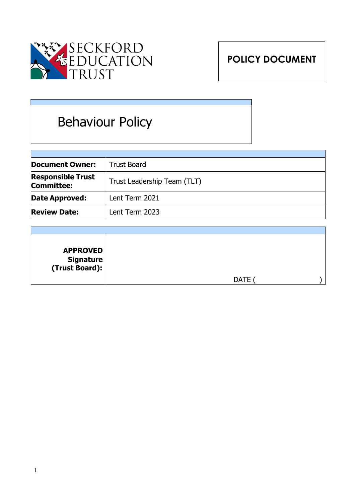

# Behaviour Policy

| <b>Document Owner:</b>                        | <b>Trust Board</b>          |
|-----------------------------------------------|-----------------------------|
| <b>Responsible Trust</b><br><b>Committee:</b> | Trust Leadership Team (TLT) |
| <b>Date Approved:</b>                         | Lent Term 2021              |
| <b>Review Date:</b>                           | Lent Term 2023              |

| <b>APPROVED</b><br>  Signature<br>  (Trust Board): |             |  |
|----------------------------------------------------|-------------|--|
|                                                    | <b>DATE</b> |  |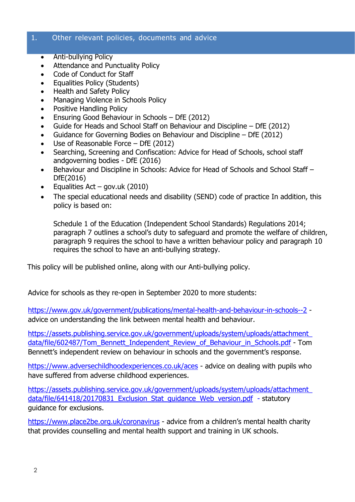#### 1. Other relevant policies, documents and advice

- Anti-bullying Policy
- Attendance and Punctuality Policy
- Code of Conduct for Staff
- Equalities Policy (Students)
- Health and Safety Policy
- Managing Violence in Schools Policy
- Positive Handling Policy
- Ensuring Good Behaviour in Schools DfE (2012)
- Guide for Heads and School Staff on Behaviour and Discipline DfE (2012)
- Guidance for Governing Bodies on Behaviour and Discipline DfE (2012)
- Use of Reasonable Force DfE (2012)
- Searching, Screening and Confiscation: Advice for Head of Schools, school staff andgoverning bodies - DfE (2016)
- Behaviour and Discipline in Schools: Advice for Head of Schools and School Staff DfE(2016)
- Equalities Act gov.uk  $(2010)$
- The special educational needs and disability (SEND) code of practice In addition, this policy is based on:

Schedule 1 of the Education (Independent School Standards) Regulations 2014; paragraph 7 outlines a school's duty to safeguard and promote the welfare of children, paragraph 9 requires the school to have a written behaviour policy and paragraph 10 requires the school to have an anti-bullying strategy.

This policy will be published online, along with our Anti-bullying policy.

Advice for schools as they re-open in September 2020 to more students:

[https://www.gov.uk/government/publications/mental-health-and-behaviour-in-schools--2](https://assets.publishing.service.gov.uk/government/uploads/system/uploads/attachment_data/file/755135/Mental_health_and_behaviour_in_schools__.pdf) advice on understanding the link between mental health and behaviour.

[https://assets.publishing.service.gov.uk/government/uploads/system/uploads/attachment\\_](https://assets.publishing.service.gov.uk/government/uploads/system/uploads/attachment_data/file/602487/Tom_Bennett_Independent_Review_of_Behaviour_in_Schools.pdf) [data/file/602487/Tom\\_Bennett\\_Independent\\_Review\\_of\\_Behaviour\\_in\\_Schools.pdf](https://assets.publishing.service.gov.uk/government/uploads/system/uploads/attachment_data/file/602487/Tom_Bennett_Independent_Review_of_Behaviour_in_Schools.pdf) - Tom Bennett's independent review on behaviour in schools and the government's response.

<https://www.adversechildhoodexperiences.co.uk/aces> - advice on dealing with pupils who have suffered from adverse childhood experiences.

[https://assets.publishing.service.gov.uk/government/uploads/system/uploads/attachment\\_](https://assets.publishing.service.gov.uk/government/uploads/system/uploads/attachment_data/file/641418/20170831_Exclusion_Stat_guidance_Web_version.pdf%20n) data/file/641418/20170831 Exclusion Stat quidance Web version.pdf - statutory guidance for exclusions.

<https://www.place2be.org.uk/coronavirus> - advice from a children's mental health charity that provides counselling and mental health support and training in UK schools.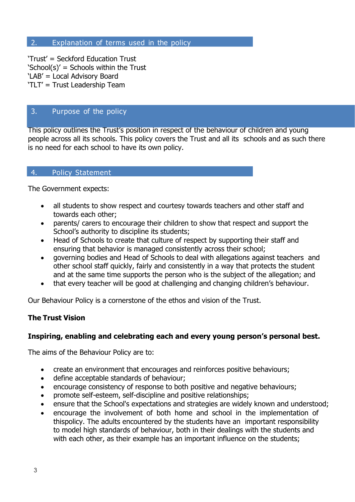#### 2. Explanation of terms used in the policy

'Trust' = Seckford Education Trust 'School(s)' = Schools within the Trust 'LAB' = Local Advisory Board 'TLT' = Trust Leadership Team

# 3. Purpose of the policy

This policy outlines the Trust's position in respect of the behaviour of children and young people across all its schools. This policy covers the Trust and all its schools and as such there is no need for each school to have its own policy.

#### 4. Policy Statement

The Government expects:

- all students to show respect and courtesy towards teachers and other staff and towards each other;
- parents/ carers to encourage their children to show that respect and support the School's authority to discipline its students;
- Head of Schools to create that culture of respect by supporting their staff and ensuring that behavior is managed consistently across their school;
- governing bodies and Head of Schools to deal with allegations against teachers and other school staff quickly, fairly and consistently in a way that protects the student and at the same time supports the person who is the subject of the allegation; and
- that every teacher will be good at challenging and changing children's behaviour.

Our Behaviour Policy is a cornerstone of the ethos and vision of the Trust.

#### **The Trust Vision**

#### **Inspiring, enabling and celebrating each and every young person's personal best.**

The aims of the Behaviour Policy are to:

- create an environment that encourages and reinforces positive behaviours;
- define acceptable standards of behaviour;
- encourage consistency of response to both positive and negative behaviours;
- promote self-esteem, self-discipline and positive relationships;
- ensure that the School's expectations and strategies are widely known and understood;
- encourage the involvement of both home and school in the implementation of thispolicy. The adults encountered by the students have an important responsibility to model high standards of behaviour, both in their dealings with the students and with each other, as their example has an important influence on the students;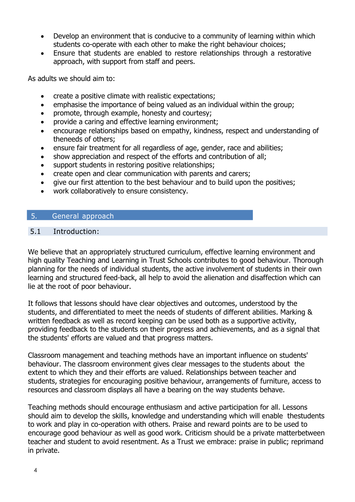- Develop an environment that is conducive to a community of learning within which students co-operate with each other to make the right behaviour choices;
- Ensure that students are enabled to restore relationships through a restorative approach, with support from staff and peers.

As adults we should aim to:

- create a positive climate with realistic expectations;
- emphasise the importance of being valued as an individual within the group;
- promote, through example, honesty and courtesy;
- provide a caring and effective learning environment;
- encourage relationships based on empathy, kindness, respect and understanding of theneeds of others;
- ensure fair treatment for all regardless of age, gender, race and abilities;
- show appreciation and respect of the efforts and contribution of all;
- support students in restoring positive relationships;
- create open and clear communication with parents and carers;
- give our first attention to the best behaviour and to build upon the positives;
- work collaboratively to ensure consistency.

## 5. General approach

#### 5.1 Introduction:

We believe that an appropriately structured curriculum, effective learning environment and high quality Teaching and Learning in Trust Schools contributes to good behaviour. Thorough planning for the needs of individual students, the active involvement of students in their own learning and structured feed-back, all help to avoid the alienation and disaffection which can lie at the root of poor behaviour.

It follows that lessons should have clear objectives and outcomes, understood by the students, and differentiated to meet the needs of students of different abilities. Marking & written feedback as well as record keeping can be used both as a supportive activity, providing feedback to the students on their progress and achievements, and as a signal that the students' efforts are valued and that progress matters.

Classroom management and teaching methods have an important influence on students' behaviour. The classroom environment gives clear messages to the students about the extent to which they and their efforts are valued. Relationships between teacher and students, strategies for encouraging positive behaviour, arrangements of furniture, access to resources and classroom displays all have a bearing on the way students behave.

Teaching methods should encourage enthusiasm and active participation for all. Lessons should aim to develop the skills, knowledge and understanding which will enable thestudents to work and play in co-operation with others. Praise and reward points are to be used to encourage good behaviour as well as good work. Criticism should be a private matterbetween teacher and student to avoid resentment. As a Trust we embrace: praise in public; reprimand in private.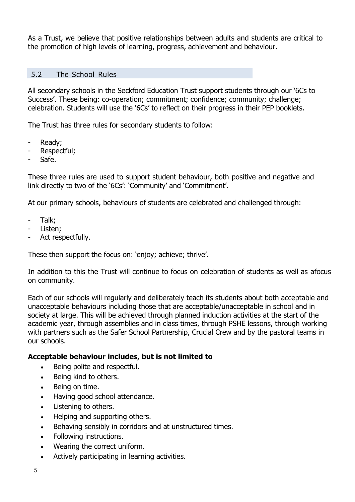As a Trust, we believe that positive relationships between adults and students are critical to the promotion of high levels of learning, progress, achievement and behaviour.

## 5.2 The School Rules

All secondary schools in the Seckford Education Trust support students through our '6Cs to Success'. These being: co-operation; commitment; confidence; community; challenge; celebration. Students will use the '6Cs' to reflect on their progress in their PEP booklets.

The Trust has three rules for secondary students to follow:

- Ready;
- Respectful;
- Safe.

These three rules are used to support student behaviour, both positive and negative and link directly to two of the '6Cs': 'Community' and 'Commitment'.

At our primary schools, behaviours of students are celebrated and challenged through:

- Talk;
- Listen;
- Act respectfully.

These then support the focus on: 'enjoy; achieve; thrive'.

In addition to this the Trust will continue to focus on celebration of students as well as afocus on community.

Each of our schools will regularly and deliberately teach its students about both acceptable and unacceptable behaviours including those that are acceptable/unacceptable in school and in society at large. This will be achieved through planned induction activities at the start of the academic year, through assemblies and in class times, through PSHE lessons, through working with partners such as the Safer School Partnership, Crucial Crew and by the pastoral teams in our schools.

## **Acceptable behaviour includes, but is not limited to**

- Being polite and respectful.
- Being kind to others.
- Being on time.
- Having good school attendance.
- Listening to others.
- Helping and supporting others.
- Behaving sensibly in corridors and at unstructured times.
- Following instructions.
- Wearing the correct uniform.
- Actively participating in learning activities.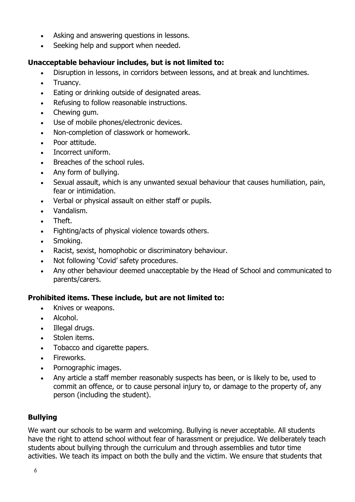- Asking and answering questions in lessons.
- Seeking help and support when needed.

## **Unacceptable behaviour includes, but is not limited to:**

- Disruption in lessons, in corridors between lessons, and at break and lunchtimes.
- Truancy.
- Eating or drinking outside of designated areas.
- Refusing to follow reasonable instructions.
- Chewing gum.
- Use of mobile phones/electronic devices.
- Non-completion of classwork or homework.
- Poor attitude.
- Incorrect uniform.
- Breaches of the school rules.
- Any form of bullying.
- Sexual assault, which is any unwanted sexual behaviour that causes humiliation, pain, fear or intimidation.
- Verbal or physical assault on either staff or pupils.
- Vandalism.
- Theft.
- Fighting/acts of physical violence towards others.
- Smoking.
- Racist, sexist, homophobic or discriminatory behaviour.
- Not following 'Covid' safety procedures.
- Any other behaviour deemed unacceptable by the Head of School and communicated to parents/carers.

## **Prohibited items. These include, but are not limited to:**

- Knives or weapons.
- Alcohol.
- Illegal drugs.
- Stolen items.
- Tobacco and cigarette papers.
- Fireworks.
- Pornographic images.
- Any article a staff member reasonably suspects has been, or is likely to be, used to commit an offence, or to cause personal injury to, or damage to the property of, any person (including the student).

## **Bullying**

We want our schools to be warm and welcoming. Bullying is never acceptable. All students have the right to attend school without fear of harassment or prejudice. We deliberately teach students about bullying through the curriculum and through assemblies and tutor time activities. We teach its impact on both the bully and the victim. We ensure that students that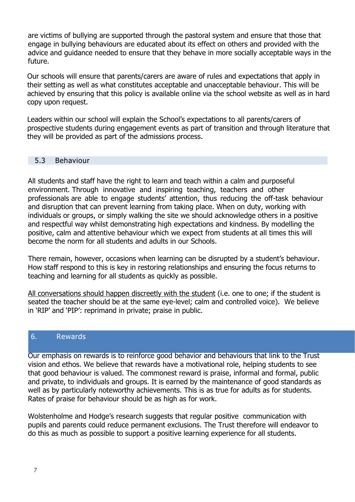are victims of bullying are supported through the pastoral system and ensure that those that engage in bullying behaviours are educated about its effect on others and provided with the advice and guidance needed to ensure that they behave in more socially acceptable ways in the future.

Our schools will ensure that parents/carers are aware of rules and expectations that apply in their setting as well as what constitutes acceptable and unacceptable behaviour. This will be achieved by ensuring that this policy is available online via the school website as well as in hard copy upon request.

Leaders within our school will explain the School's expectations to all parents/carers of prospective students during engagement events as part of transition and through literature that they will be provided as part of the admissions process.

#### 5.3 Behaviour

All students and staff have the right to learn and teach within a calm and purposeful environment. Through innovative and inspiring teaching, teachers and other professionals are able to engage students' attention, thus reducing the off-task behaviour and disruption that can prevent learning from taking place. When on duty, working with individuals or groups, or simply walking the site we should acknowledge others in a positive and respectful way whilst demonstrating high expectations and kindness. By modelling the positive, calm and attentive behaviour which we expect from students at all times this will become the norm for all students and adults in our Schools.

There remain, however, occasions when learning can be disrupted by a student's behaviour. How staff respond to this is key in restoring relationships and ensuring the focus returns to teaching and learning for all students as quickly as possible.

All conversations should happen discreetly with the student (i.e. one to one; if the student is seated the teacher should be at the same eye-level; calm and controlled voice). We believe in 'RIP' and 'PIP': reprimand in private; praise in public.

## 6. Rewards

Our emphasis on rewards is to reinforce good behavior and behaviours that link to the Trust vision and ethos. We believe that rewards have a motivational role, helping students to see that good behaviour is valued. The commonest reward is praise, informal and formal, public and private, to individuals and groups. It is earned by the maintenance of good standards as well as by particularly noteworthy achievements. This is as true for adults as for students. Rates of praise for behaviour should be as high as for work.

Wolstenholme and Hodge's research suggests that regular positive communication with pupils and parents could reduce permanent exclusions. The Trust therefore will endeavor to do this as much as possible to support a positive learning experience for all students.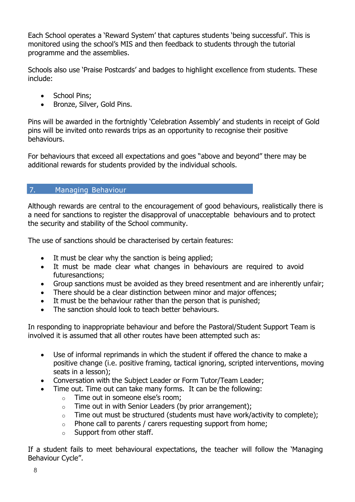Each School operates a 'Reward System' that captures students 'being successful'. This is monitored using the school's MIS and then feedback to students through the tutorial programme and the assemblies.

Schools also use 'Praise Postcards' and badges to highlight excellence from students. These include:

- School Pins;
- Bronze, Silver, Gold Pins.

Pins will be awarded in the fortnightly 'Celebration Assembly' and students in receipt of Gold pins will be invited onto rewards trips as an opportunity to recognise their positive behaviours.

For behaviours that exceed all expectations and goes "above and beyond" there may be additional rewards for students provided by the individual schools.

# 7. Managing Behaviour

Although rewards are central to the encouragement of good behaviours, realistically there is a need for sanctions to register the disapproval of unacceptable behaviours and to protect the security and stability of the School community.

The use of sanctions should be characterised by certain features:

- It must be clear why the sanction is being applied;
- It must be made clear what changes in behaviours are required to avoid futuresanctions;
- Group sanctions must be avoided as they breed resentment and are inherently unfair;
- There should be a clear distinction between minor and major offences;
- It must be the behaviour rather than the person that is punished:
- The sanction should look to teach better behaviours.

In responding to inappropriate behaviour and before the Pastoral/Student Support Team is involved it is assumed that all other routes have been attempted such as:

- Use of informal reprimands in which the student if offered the chance to make a positive change (i.e. positive framing, tactical ignoring, scripted interventions, moving seats in a lesson);
- Conversation with the Subject Leader or Form Tutor/Team Leader;
- Time out. Time out can take many forms. It can be the following:
	- o Time out in someone else's room;
	- o Time out in with Senior Leaders (by prior arrangement);
	- o Time out must be structured (students must have work/activity to complete);
	- o Phone call to parents / carers requesting support from home;
	- $\circ$  Support from other staff.

If a student fails to meet behavioural expectations, the teacher will follow the 'Managing Behaviour Cycle".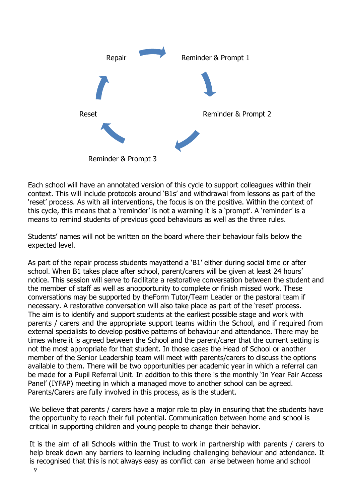

Each school will have an annotated version of this cycle to support colleagues within their context. This will include protocols around 'B1s' and withdrawal from lessons as part of the 'reset' process. As with all interventions, the focus is on the positive. Within the context of this cycle, this means that a 'reminder' is not a warning it is a 'prompt'. A 'reminder' is a means to remind students of previous good behaviours as well as the three rules.

Students' names will not be written on the board where their behaviour falls below the expected level.

As part of the repair process students mayattend a 'B1' either during social time or after school. When B1 takes place after school, parent/carers will be given at least 24 hours' notice. This session will serve to facilitate a restorative conversation between the student and the member of staff as well as anopportunity to complete or finish missed work. These conversations may be supported by theForm Tutor/Team Leader or the pastoral team if necessary. A restorative conversation will also take place as part of the 'reset' process. The aim is to identify and support students at the earliest possible stage and work with parents / carers and the appropriate support teams within the School, and if required from external specialists to develop positive patterns of behaviour and attendance. There may be times where it is agreed between the School and the parent/carer that the current setting is not the most appropriate for that student. In those cases the Head of School or another member of the Senior Leadership team will meet with parents/carers to discuss the options available to them. There will be two opportunities per academic year in which a referral can be made for a Pupil Referral Unit. In addition to this there is the monthly 'In Year Fair Access Panel' (IYFAP) meeting in which a managed move to another school can be agreed. Parents/Carers are fully involved in this process, as is the student.

We believe that parents / carers have a major role to play in ensuring that the students have the opportunity to reach their full potential. Communication between home and school is critical in supporting children and young people to change their behavior.

9 It is the aim of all Schools within the Trust to work in partnership with parents / carers to help break down any barriers to learning including challenging behaviour and attendance. It is recognised that this is not always easy as conflict can arise between home and school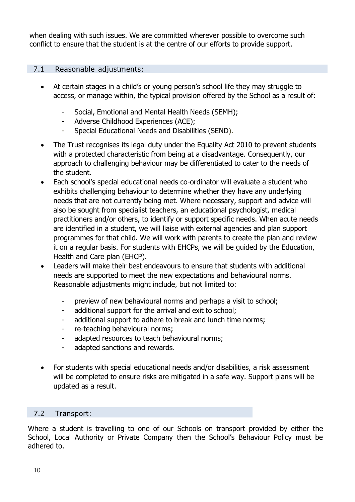when dealing with such issues. We are committed wherever possible to overcome such conflict to ensure that the student is at the centre of our efforts to provide support.

## 7.1 Reasonable adjustments:

- At certain stages in a child's or young person's school life they may struggle to access, or manage within, the typical provision offered by the School as a result of:
	- Social, Emotional and Mental Health Needs (SEMH);
	- Adverse Childhood Experiences (ACE);
	- Special Educational Needs and Disabilities (SEND).
- The Trust recognises its legal duty under the Equality Act 2010 to prevent students with a protected characteristic from being at a disadvantage. Consequently, our approach to challenging behaviour may be differentiated to cater to the needs of the student.
- Each school's special educational needs co-ordinator will evaluate a student who exhibits challenging behaviour to determine whether they have any underlying needs that are not currently being met. Where necessary, support and advice will also be sought from specialist teachers, an educational psychologist, medical practitioners and/or others, to identify or support specific needs. When acute needs are identified in a student, we will liaise with external agencies and plan support programmes for that child. We will work with parents to create the plan and review it on a regular basis. For students with EHCPs, we will be guided by the Education, Health and Care plan (EHCP).
- Leaders will make their best endeavours to ensure that students with additional needs are supported to meet the new expectations and behavioural norms. Reasonable adjustments might include, but not limited to:
	- preview of new behavioural norms and perhaps a visit to school;
	- additional support for the arrival and exit to school;
	- additional support to adhere to break and lunch time norms;
	- re-teaching behavioural norms;
	- adapted resources to teach behavioural norms;
	- adapted sanctions and rewards.
- For students with special educational needs and/or disabilities, a risk assessment will be completed to ensure risks are mitigated in a safe way. Support plans will be updated as a result.

#### 7.2 Transport:

Where a student is travelling to one of our Schools on transport provided by either the School, Local Authority or Private Company then the School's Behaviour Policy must be adhered to.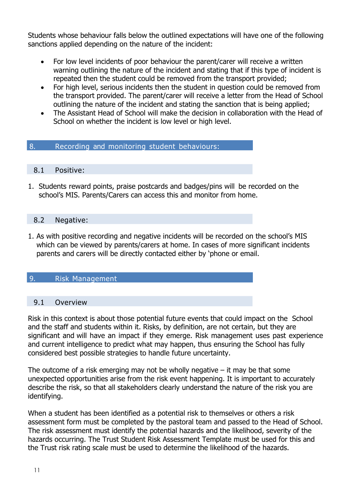Students whose behaviour falls below the outlined expectations will have one of the following sanctions applied depending on the nature of the incident:

- For low level incidents of poor behaviour the parent/carer will receive a written warning outlining the nature of the incident and stating that if this type of incident is repeated then the student could be removed from the transport provided;
- For high level, serious incidents then the student in question could be removed from the transport provided. The parent/carer will receive a letter from the Head of School outlining the nature of the incident and stating the sanction that is being applied;
- The Assistant Head of School will make the decision in collaboration with the Head of School on whether the incident is low level or high level.

#### 8. Recording and monitoring student behaviours:

#### 8.1 Positive:

1. Students reward points, praise postcards and badges/pins will be recorded on the school's MIS. Parents/Carers can access this and monitor from home.

#### 8.2 Negative:

1. As with positive recording and negative incidents will be recorded on the school's MIS which can be viewed by parents/carers at home. In cases of more significant incidents parents and carers will be directly contacted either by 'phone or email.

#### 9. Risk Management

#### 9.1 Overview

Risk in this context is about those potential future events that could impact on the School and the staff and students within it. Risks, by definition, are not certain, but they are significant and will have an impact if they emerge. Risk management uses past experience and current intelligence to predict what may happen, thus ensuring the School has fully considered best possible strategies to handle future uncertainty.

The outcome of a risk emerging may not be wholly negative  $-$  it may be that some unexpected opportunities arise from the risk event happening. It is important to accurately describe the risk, so that all stakeholders clearly understand the nature of the risk you are identifying.

When a student has been identified as a potential risk to themselves or others a risk assessment form must be completed by the pastoral team and passed to the Head of School. The risk assessment must identify the potential hazards and the likelihood, severity of the hazards occurring. The Trust Student Risk Assessment Template must be used for this and the Trust risk rating scale must be used to determine the likelihood of the hazards.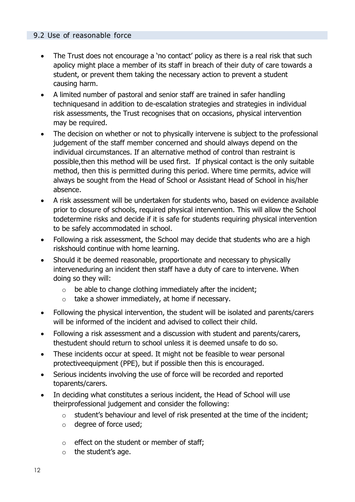#### 9.2 Use of reasonable force

- The Trust does not encourage a 'no contact' policy as there is a real risk that such apolicy might place a member of its staff in breach of their duty of care towards a student, or prevent them taking the necessary action to prevent a student causing harm.
- A limited number of pastoral and senior staff are trained in safer handling techniquesand in addition to de-escalation strategies and strategies in individual risk assessments, the Trust recognises that on occasions, physical intervention may be required.
- The decision on whether or not to physically intervene is subject to the professional judgement of the staff member concerned and should always depend on the individual circumstances. If an alternative method of control than restraint is possible,then this method will be used first. If physical contact is the only suitable method, then this is permitted during this period. Where time permits, advice will always be sought from the Head of School or Assistant Head of School in his/her absence.
- A risk assessment will be undertaken for students who, based on evidence available prior to closure of schools, required physical intervention. This will allow the School todetermine risks and decide if it is safe for students requiring physical intervention to be safely accommodated in school.
- Following a risk assessment, the School may decide that students who are a high riskshould continue with home learning.
- Should it be deemed reasonable, proportionate and necessary to physically interveneduring an incident then staff have a duty of care to intervene. When doing so they will:
	- $\circ$  be able to change clothing immediately after the incident;
	- $\circ$  take a shower immediately, at home if necessary.
- Following the physical intervention, the student will be isolated and parents/carers will be informed of the incident and advised to collect their child.
- Following a risk assessment and a discussion with student and parents/carers, thestudent should return to school unless it is deemed unsafe to do so.
- These incidents occur at speed. It might not be feasible to wear personal protectiveequipment (PPE), but if possible then this is encouraged.
- Serious incidents involving the use of force will be recorded and reported toparents/carers.
- In deciding what constitutes a serious incident, the Head of School will use theirprofessional judgement and consider the following:
	- o student's behaviour and level of risk presented at the time of the incident;
	- o degree of force used;
	- $\circ$  effect on the student or member of staff;
	- $\circ$  the student's age.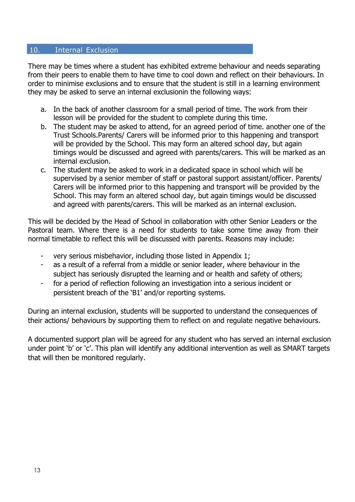#### 10. Internal Exclusion

There may be times where a student has exhibited extreme behaviour and needs separating from their peers to enable them to have time to cool down and reflect on their behaviours. In order to minimise exclusions and to ensure that the student is still in a learning environment they may be asked to serve an internal exclusionin the following ways:

- a. In the back of another classroom for a small period of time. The work from their lesson will be provided for the student to complete during this time.
- b. The student may be asked to attend, for an agreed period of time. another one of the Trust Schools.Parents/ Carers will be informed prior to this happening and transport will be provided by the School. This may form an altered school day, but again timings would be discussed and agreed with parents/carers. This will be marked as an internal exclusion.
- c. The student may be asked to work in a dedicated space in school which will be supervised by a senior member of staff or pastoral support assistant/officer. Parents/ Carers will be informed prior to this happening and transport will be provided by the School. This may form an altered school day, but again timings would be discussed and agreed with parents/carers. This will be marked as an internal exclusion.

This will be decided by the Head of School in collaboration with other Senior Leaders or the Pastoral team. Where there is a need for students to take some time away from their normal timetable to reflect this will be discussed with parents. Reasons may include:

- very serious misbehavior, including those listed in Appendix 1;
- as a result of a referral from a middle or senior leader, where behaviour in the subject has seriously disrupted the learning and or health and safety of others;
- for a period of reflection following an investigation into a serious incident or persistent breach of the 'B1' and/or reporting systems.

During an internal exclusion, students will be supported to understand the consequences of their actions/ behaviours by supporting them to reflect on and regulate negative behaviours.

A documented support plan will be agreed for any student who has served an internal exclusion under point 'b' or 'c'. This plan will identify any additional intervention as well as SMART targets that will then be monitored regularly.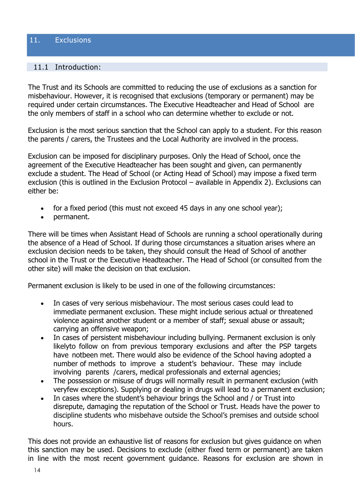#### 11. Exclusions

# 11.1 Introduction:

The Trust and its Schools are committed to reducing the use of exclusions as a sanction for misbehaviour. However, it is recognised that exclusions (temporary or permanent) may be required under certain circumstances. The Executive Headteacher and Head of School are the only members of staff in a school who can determine whether to exclude or not.

Exclusion is the most serious sanction that the School can apply to a student. For this reason the parents / carers, the Trustees and the Local Authority are involved in the process.

Exclusion can be imposed for disciplinary purposes. Only the Head of School, once the agreement of the Executive Headteacher has been sought and given, can permanently exclude a student. The Head of School (or Acting Head of School) may impose a fixed term exclusion (this is outlined in the Exclusion Protocol – available in Appendix 2). Exclusions can either be:

- for a fixed period (this must not exceed 45 days in any one school year);
- permanent.

There will be times when Assistant Head of Schools are running a school operationally during the absence of a Head of School. If during those circumstances a situation arises where an exclusion decision needs to be taken, they should consult the Head of School of another school in the Trust or the Executive Headteacher. The Head of School (or consulted from the other site) will make the decision on that exclusion.

Permanent exclusion is likely to be used in one of the following circumstances:

- In cases of very serious misbehaviour. The most serious cases could lead to immediate permanent exclusion. These might include serious actual or threatened violence against another student or a member of staff; sexual abuse or assault; carrying an offensive weapon;
- In cases of persistent misbehaviour including bullying. Permanent exclusion is only likelyto follow on from previous temporary exclusions and after the PSP targets have notbeen met. There would also be evidence of the School having adopted a number of methods to improve a student's behaviour. These may include involving parents /carers, medical professionals and external agencies;
- The possession or misuse of drugs will normally result in permanent exclusion (with veryfew exceptions). Supplying or dealing in drugs will lead to a permanent exclusion;
- In cases where the student's behaviour brings the School and / or Trust into disrepute, damaging the reputation of the School or Trust. Heads have the power to discipline students who misbehave outside the School's premises and outside school hours.

This does not provide an exhaustive list of reasons for exclusion but gives guidance on when this sanction may be used. Decisions to exclude (either fixed term or permanent) are taken in line with the most recent government guidance. Reasons for exclusion are shown in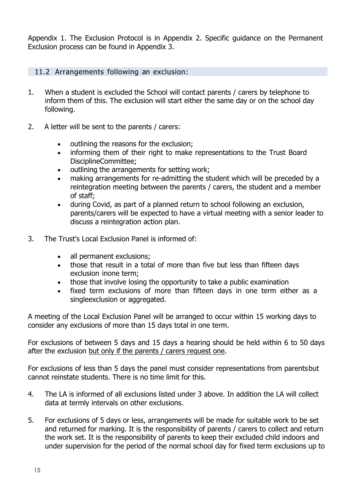Appendix 1. The Exclusion Protocol is in Appendix 2. Specific guidance on the Permanent Exclusion process can be found in Appendix 3.

11.2 Arrangements following an exclusion:

- 1. When a student is excluded the School will contact parents / carers by telephone to inform them of this. The exclusion will start either the same day or on the school day following.
- 2. A letter will be sent to the parents / carers:
	- outlining the reasons for the exclusion;
	- informing them of their right to make representations to the Trust Board DisciplineCommittee;
	- outlining the arrangements for setting work;
	- making arrangements for re-admitting the student which will be preceded by a reintegration meeting between the parents / carers, the student and a member of staff;
	- during Covid, as part of a planned return to school following an exclusion, parents/carers will be expected to have a virtual meeting with a senior leader to discuss a reintegration action plan.
- 3. The Trust's Local Exclusion Panel is informed of:
	- all permanent exclusions;
	- those that result in a total of more than five but less than fifteen days exclusion inone term;
	- those that involve losing the opportunity to take a public examination
	- fixed term exclusions of more than fifteen days in one term either as a singleexclusion or aggregated.

A meeting of the Local Exclusion Panel will be arranged to occur within 15 working days to consider any exclusions of more than 15 days total in one term.

For exclusions of between 5 days and 15 days a hearing should be held within 6 to 50 days after the exclusion but only if the parents / carers request one.

For exclusions of less than 5 days the panel must consider representations from parents but cannot reinstate students. There is no time limit for this.

- 4. The LA is informed of all exclusions listed under 3 above. In addition the LA will collect data at termly intervals on other exclusions.
- 5. For exclusions of 5 days or less, arrangements will be made for suitable work to be set and returned for marking. It is the responsibility of parents / carers to collect and return the work set. It is the responsibility of parents to keep their excluded child indoors and under supervision for the period of the normal school day for fixed term exclusions up to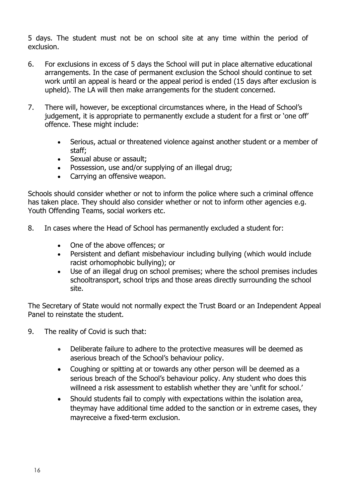5 days. The student must not be on school site at any time within the period of exclusion.

- 6. For exclusions in excess of 5 days the School will put in place alternative educational arrangements. In the case of permanent exclusion the School should continue to set work until an appeal is heard or the appeal period is ended (15 days after exclusion is upheld). The LA will then make arrangements for the student concerned.
- 7. There will, however, be exceptional circumstances where, in the Head of School's judgement, it is appropriate to permanently exclude a student for a first or 'one off' offence. These might include:
	- Serious, actual or threatened violence against another student or a member of staff;
	- Sexual abuse or assault;
	- Possession, use and/or supplying of an illegal drug;
	- Carrying an offensive weapon.

Schools should consider whether or not to inform the police where such a criminal offence has taken place. They should also consider whether or not to inform other agencies e.g. Youth Offending Teams, social workers etc.

- 8. In cases where the Head of School has permanently excluded a student for:
	- One of the above offences; or
	- Persistent and defiant misbehaviour including bullying (which would include racist orhomophobic bullying); or
	- Use of an illegal drug on school premises; where the school premises includes schooltransport, school trips and those areas directly surrounding the school site.

The Secretary of State would not normally expect the Trust Board or an Independent Appeal Panel to reinstate the student.

- 9. The reality of Covid is such that:
	- Deliberate failure to adhere to the [protective measures w](https://eur01.safelinks.protection.outlook.com/?url=https%3A%2F%2Fwww.gov.uk%2Fgovernment%2Fpublications%2Fcoronavirus-covid-19-implementing-protective-measures-in-education-and-childcare-settings%2Fcoronavirus-covid-19-implementing-protective-measures-in-education-and-childcare-settings&data=02%7C01%7Callan.glover%40staracademies.org%7C7abd76144b484ec2353308d7fb523d60%7Cad91cba8ab0a41f6ab6243cf47f82197%7C0%7C0%7C637254202946985902&sdata=w%2BqX9ACzfs%2FEhIKlZ2Tj0ShUpJHBOuUKdPrsiLSAzqc%3D&reserved=0)ill be deemed as aserious breach of the School's behaviour policy.
	- Coughing or spitting at or towards any other person will be deemed as a serious breach of the School's behaviour policy. Any student who does this willneed a risk assessment to establish whether they are 'unfit for school.'
	- Should students fail to comply with expectations within the isolation area, theymay have additional time added to the sanction or in extreme cases, they mayreceive a fixed-term exclusion.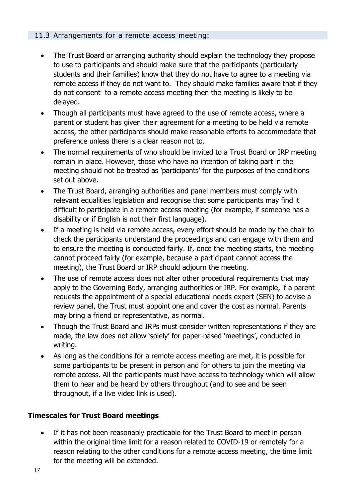## 11.3 Arrangements for a remote access meeting:

- The Trust Board or arranging authority should explain the technology they propose to use to participants and should make sure that the participants (particularly students and their families) know that they do not have to agree to a meeting via remote access if they do not want to. They should make families aware that if they do not consent to a remote access meeting then the meeting is likely to be delayed.
- Though all participants must have agreed to the use of remote access, where a parent or student has given their agreement for a meeting to be held via remote access, the other participants should make reasonable efforts to accommodate that preference unless there is a clear reason not to.
- The normal requirements of who should be invited to a Trust Board or IRP meeting remain in place. However, those who have no intention of taking part in the meeting should not be treated as 'participants' for the purposes of the conditions set out above.
- The Trust Board, arranging authorities and panel members must comply with relevant equalities legislation and recognise that some participants may find it difficult to participate in a remote access meeting (for example, if someone has a disability or if English is not their first language).
- If a meeting is held via remote access, every effort should be made by the chair to check the participants understand the proceedings and can engage with them and to ensure the meeting is conducted fairly. If, once the meeting starts, the meeting cannot proceed fairly (for example, because a participant cannot access the meeting), the Trust Board or IRP should adjourn the meeting.
- The use of remote access does not alter other procedural requirements that may apply to the Governing Body, arranging authorities or IRP. For example, if a parent requests the appointment of a special educational needs expert (SEN) to advise a review panel, the Trust must appoint one and cover the cost as normal. Parents may bring a friend or representative, as normal.
- Though the Trust Board and IRPs must consider written representations if they are made, the law does not allow 'solely' for paper-based 'meetings', conducted in writing.
- As long as the conditions for a remote access meeting are met, it is possible for some participants to be present in person and for others to join the meeting via remote access. All the participants must have access to technology which will allow them to hear and be heard by others throughout (and to see and be seen throughout, if a live video link is used).

# **Timescales for Trust Board meetings**

If it has not been reasonably practicable for the Trust Board to meet in person within the original time limit for a reason related to COVID-19 or remotely for a reason relating to the other conditions for a remote access meeting, the time limit for the meeting will be extended.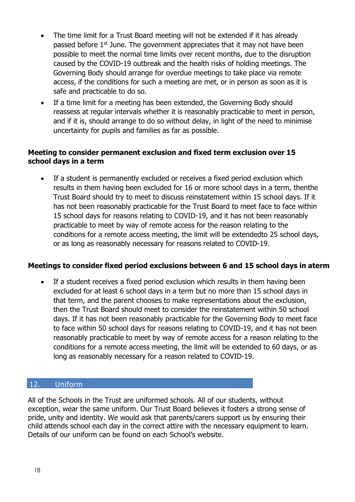- The time limit for a Trust Board meeting will not be extended if it has already passed before 1<sup>st</sup> June. The government appreciates that it may not have been possible to meet the normal time limits over recent months, due to the disruption caused by the COVID-19 outbreak and the health risks of holding meetings. The Governing Body should arrange for overdue meetings to take place via remote access, if the conditions for such a meeting are met, or in person as soon as it is safe and practicable to do so.
- If a time limit for a meeting has been extended, the Governing Body should reassess at regular intervals whether it is reasonably practicable to meet in person, and if it is, should arrange to do so without delay, in light of the need to minimise uncertainty for pupils and families as far as possible.

## **Meeting to consider permanent exclusion and fixed term exclusion over 15 school days in a term**

If a student is permanently excluded or receives a fixed period exclusion which results in them having been excluded for 16 or more school days in a term, thenthe Trust Board should try to meet to discuss reinstatement within 15 school days. If it has not been reasonably practicable for the Trust Board to meet face to face within 15 school days for reasons relating to COVID-19, and it has not been reasonably practicable to meet by way of remote access for the reason relating to the conditions for a remote access meeting, the limit will be extendedto 25 school days, or as long as reasonably necessary for reasons related to COVID-19.

#### **Meetings to consider fixed period exclusions between 6 and 15 school days in aterm**

• If a student receives a fixed period exclusion which results in them having been excluded for at least 6 school days in a term but no more than 15 school days in that term, and the parent chooses to make representations about the exclusion, then the Trust Board should meet to consider the reinstatement within 50 school days. If it has not been reasonably practicable for the Governing Body to meet face to face within 50 school days for reasons relating to COVID-19, and it has not been reasonably practicable to meet by way of remote access for a reason relating to the conditions for a remote access meeting, the limit will be extended to 60 days, or as long as reasonably necessary for a reason related to COVID-19.

#### 12. Uniform

All of the Schools in the Trust are uniformed schools. All of our students, without exception, wear the same uniform. Our Trust Board believes it fosters a strong sense of pride, unity and identity. We would ask that parents/carers support us by ensuring their child attends school each day in the correct attire with the necessary equipment to learn. Details of our uniform can be found on each School's website.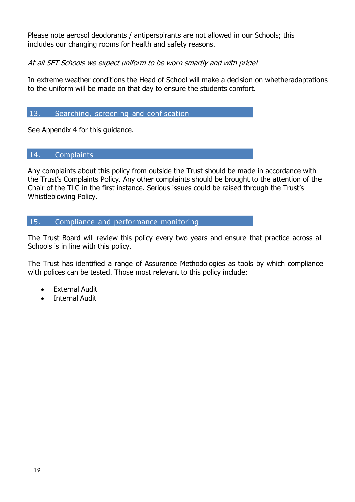Please note aerosol deodorants / antiperspirants are not allowed in our Schools; this includes our changing rooms for health and safety reasons.

## At all SET Schools we expect uniform to be worn smartly and with pride!

In extreme weather conditions the Head of School will make a decision on whetheradaptations to the uniform will be made on that day to ensure the students comfort.

#### 13. Searching, screening and confiscation

See Appendix 4 for this guidance.

#### 14. Complaints

Any complaints about this policy from outside the Trust should be made in accordance with the Trust's Complaints Policy. Any other complaints should be brought to the attention of the Chair of the TLG in the first instance. Serious issues could be raised through the Trust's Whistleblowing Policy.

#### 15. Compliance and performance monitoring

The Trust Board will review this policy every two years and ensure that practice across all Schools is in line with this policy.

The Trust has identified a range of Assurance Methodologies as tools by which compliance with polices can be tested. Those most relevant to this policy include:

- **External Audit**
- Internal Audit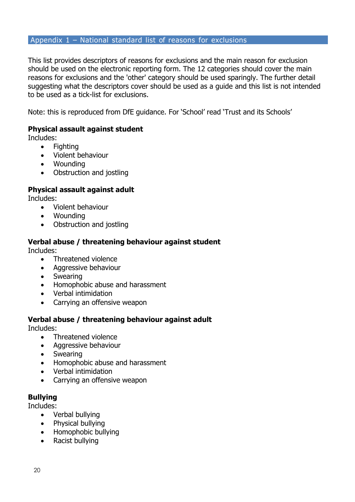#### Appendix 1 – National standard list of reasons for exclusions

This list provides descriptors of reasons for exclusions and the main reason for exclusion should be used on the electronic reporting form. The 12 categories should cover the main reasons for exclusions and the 'other' category should be used sparingly. The further detail suggesting what the descriptors cover should be used as a guide and this list is not intended to be used as a tick-list for exclusions.

Note: this is reproduced from DfE guidance. For 'School' read 'Trust and its Schools'

## **Physical assault against student**

Includes:

- Fighting
- Violent behaviour
- Wounding
- Obstruction and jostling

## **Physical assault against adult**

Includes:

- Violent behaviour
- Wounding
- Obstruction and jostling

## **Verbal abuse / threatening behaviour against student**

Includes:

- Threatened violence
- Aggressive behaviour
- Swearing
- Homophobic abuse and harassment
- Verbal intimidation
- Carrying an offensive weapon

#### **Verbal abuse / threatening behaviour against adult**

Includes:

- Threatened violence
- Aggressive behaviour
- Swearing
- Homophobic abuse and harassment
- Verbal intimidation
- Carrying an offensive weapon

#### **Bullying**

Includes:

- Verbal bullying
- Physical bullying
- Homophobic bullying
- Racist bullying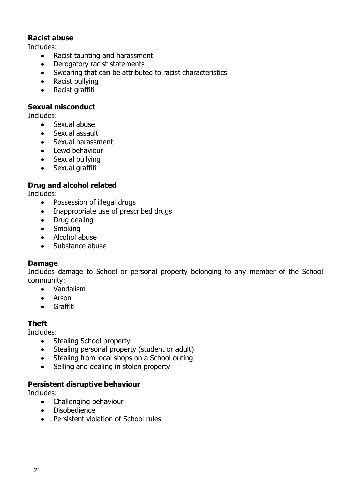## **Racist abuse**

Includes:

- Racist taunting and harassment
- Derogatory racist statements
- Swearing that can be attributed to racist characteristics
- Racist bullying
- Racist graffiti

## **Sexual misconduct**

Includes:

- Sexual abuse
- Sexual assault
- Sexual harassment
- Lewd behaviour
- Sexual bullying
- Sexual graffiti

# **Drug and alcohol related**

Includes:

- Possession of illegal drugs
- Inappropriate use of prescribed drugs
- Drug dealing
- Smoking
- Alcohol abuse
- Substance abuse

## **Damage**

Includes damage to School or personal property belonging to any member of the School community:

- Vandalism
- Arson
- Graffiti

## **Theft**

Includes:

- Stealing School property
- Stealing personal property (student or adult)
- Stealing from local shops on a School outing
- Selling and dealing in stolen property

## **Persistent disruptive behaviour**

Includes:

- Challenging behaviour
- Disobedience
- Persistent violation of School rules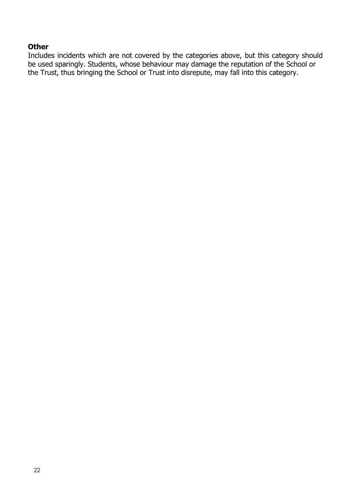## **Other**

Includes incidents which are not covered by the categories above, but this category should be used sparingly. Students, whose behaviour may damage the reputation of the School or the Trust, thus bringing the School or Trust into disrepute, may fall into this category.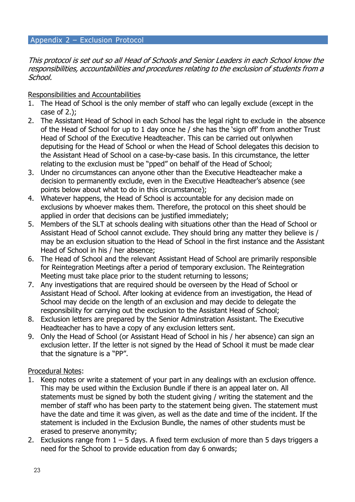#### Appendix 2 – Exclusion Protocol

This protocol is set out so all Head of Schools and Senior Leaders in each School know the responsibilities, accountabilities and procedures relating to the exclusion of students from <sup>a</sup> School.

#### Responsibilities and Accountabilities

- 1. The Head of School is the only member of staff who can legally exclude (except in the case of 2.);
- 2. The Assistant Head of School in each School has the legal right to exclude in the absence of the Head of School for up to 1 day once he / she has the 'sign off' from another Trust Head of School of the Executive Headteacher. This can be carried out onlywhen deputising for the Head of School or when the Head of School delegates this decision to the Assistant Head of School on a case-by-case basis. In this circumstance, the letter relating to the exclusion must be "pped" on behalf of the Head of School;
- 3. Under no circumstances can anyone other than the Executive Headteacher make a decision to permanently exclude, even in the Executive Headteacher's absence (see points below about what to do in this circumstance);
- 4. Whatever happens, the Head of School is accountable for any decision made on exclusions by whoever makes them. Therefore, the protocol on this sheet should be applied in order that decisions can be justified immediately;
- 5. Members of the SLT at schools dealing with situations other than the Head of School or Assistant Head of School cannot exclude. They should bring any matter they believe is / may be an exclusion situation to the Head of School in the first instance and the Assistant Head of School in his / her absence;
- 6. The Head of School and the relevant Assistant Head of School are primarily responsible for Reintegration Meetings after a period of temporary exclusion. The Reintegration Meeting must take place prior to the student returning to lessons;
- 7. Any investigations that are required should be overseen by the Head of School or Assistant Head of School. After looking at evidence from an investigation, the Head of School may decide on the length of an exclusion and may decide to delegate the responsibility for carrying out the exclusion to the Assistant Head of School;
- 8. Exclusion letters are prepared by the Senior Adminstration Assistant. The Executive Headteacher has to have a copy of any exclusion letters sent.
- 9. Only the Head of School (or Assistant Head of School in his / her absence) can sign an exclusion letter. If the letter is not signed by the Head of School it must be made clear that the signature is a "PP".

#### Procedural Notes:

- 1. Keep notes or write a statement of your part in any dealings with an exclusion offence. This may be used within the Exclusion Bundle if there is an appeal later on. All statements must be signed by both the student giving / writing the statement and the member of staff who has been party to the statement being given. The statement must have the date and time it was given, as well as the date and time of the incident. If the statement is included in the Exclusion Bundle, the names of other students must be erased to preserve anonymity;
- 2. Exclusions range from  $1 5$  days. A fixed term exclusion of more than 5 days triggers a need for the School to provide education from day 6 onwards;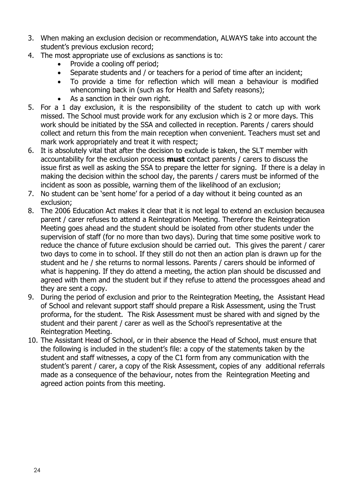- 3. When making an exclusion decision or recommendation, ALWAYS take into account the student's previous exclusion record;
- 4. The most appropriate use of exclusions as sanctions is to:
	- Provide a cooling off period;
	- Separate students and / or teachers for a period of time after an incident;
	- To provide a time for reflection which will mean a behaviour is modified whencoming back in (such as for Health and Safety reasons);
	- As a sanction in their own right.
- 5. For a 1 day exclusion, it is the responsibility of the student to catch up with work missed. The School must provide work for any exclusion which is 2 or more days. This work should be initiated by the SSA and collected in reception. Parents / carers should collect and return this from the main reception when convenient. Teachers must set and mark work appropriately and treat it with respect;
- 6. It is absolutely vital that after the decision to exclude is taken, the SLT member with accountability for the exclusion process **must** contact parents / carers to discuss the issue first as well as asking the SSA to prepare the letter for signing. If there is a delay in making the decision within the school day, the parents / carers must be informed of the incident as soon as possible, warning them of the likelihood of an exclusion;
- 7. No student can be 'sent home' for a period of a day without it being counted as an exclusion;
- 8. The 2006 Education Act makes it clear that it is not legal to extend an exclusion becausea parent / carer refuses to attend a Reintegration Meeting. Therefore the Reintegration Meeting goes ahead and the student should be isolated from other students under the supervision of staff (for no more than two days). During that time some positive work to reduce the chance of future exclusion should be carried out. This gives the parent / carer two days to come in to school. If they still do not then an action plan is drawn up for the student and he / she returns to normal lessons. Parents / carers should be informed of what is happening. If they do attend a meeting, the action plan should be discussed and agreed with them and the student but if they refuse to attend the processgoes ahead and they are sent a copy.
- 9. During the period of exclusion and prior to the Reintegration Meeting, the Assistant Head of School and relevant support staff should prepare a Risk Assessment, using the Trust proforma, for the student. The Risk Assessment must be shared with and signed by the student and their parent / carer as well as the School's representative at the Reintegration Meeting.
- 10. The Assistant Head of School, or in their absence the Head of School, must ensure that the following is included in the student's file: a copy of the statements taken by the student and staff witnesses, a copy of the C1 form from any communication with the student's parent / carer, a copy of the Risk Assessment, copies of any additional referrals made as a consequence of the behaviour, notes from the Reintegration Meeting and agreed action points from this meeting.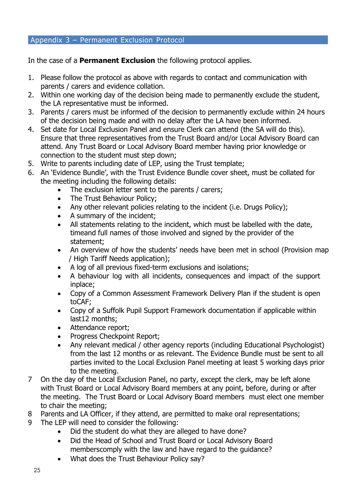## Appendix 3 – Permanent Exclusion Protocol

In the case of a **Permanent Exclusion** the following protocol applies.

- 1. Please follow the protocol as above with regards to contact and communication with parents / carers and evidence collation.
- 2. Within one working day of the decision being made to permanently exclude the student, the LA representative must be informed.
- 3. Parents / carers must be informed of the decision to permanently exclude within 24 hours of the decision being made and with no delay after the LA have been informed.
- 4. Set date for Local Exclusion Panel and ensure Clerk can attend (the SA will do this). Ensure that three representatives from the Trust Board and/or Local Advisory Board can attend. Any Trust Board or Local Advisory Board member having prior knowledge or connection to the student must step down;
- 5. Write to parents including date of LEP, using the Trust template;
- 6. An 'Evidence Bundle', with the Trust Evidence Bundle cover sheet, must be collated for the meeting including the following details:
	- The exclusion letter sent to the parents / carers;
	- The Trust Behaviour Policy;
	- Any other relevant policies relating to the incident (i.e. Drugs Policy);
	- A summary of the incident;
	- All statements relating to the incident, which must be labelled with the date, timeand full names of those involved and signed by the provider of the statement;
	- An overview of how the students' needs have been met in school (Provision map / High Tariff Needs application);
	- A log of all previous fixed-term exclusions and isolations;
	- A behaviour log with all incidents, consequences and impact of the support inplace;
	- Copy of a Common Assessment Framework Delivery Plan if the student is open toCAF;
	- Copy of a Suffolk Pupil Support Framework documentation if applicable within last12 months;
	- Attendance report:
	- Progress Checkpoint Report;
	- Any relevant medical / other agency reports (including Educational Psychologist) from the last 12 months or as relevant. The Evidence Bundle must be sent to all parties invited to the Local Exclusion Panel meeting at least 5 working days prior to the meeting.
- 7 On the day of the Local Exclusion Panel, no party, except the clerk, may be left alone with Trust Board or Local Advisory Board members at any point, before, during or after the meeting. The Trust Board or Local Advisory Board members must elect one member to chair the meeting;
- 8 Parents and LA Officer, if they attend, are permitted to make oral representations;
- 9 The LEP will need to consider the following:
	- Did the student do what they are alleged to have done?
	- Did the Head of School and Trust Board or Local Advisory Board memberscomply with the law and have regard to the guidance?
	- What does the Trust Behaviour Policy say?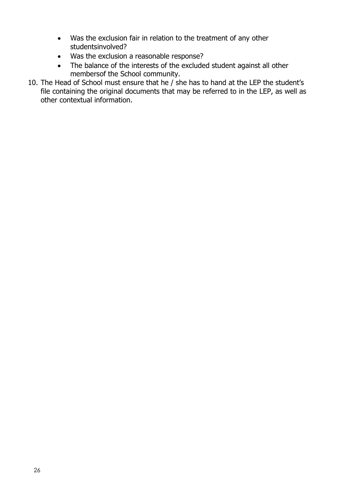- Was the exclusion fair in relation to the treatment of any other studentsinvolved?
- Was the exclusion a reasonable response?
- The balance of the interests of the excluded student against all other membersof the School community.
- 10. The Head of School must ensure that he / she has to hand at the LEP the student's file containing the original documents that may be referred to in the LEP, as well as other contextual information.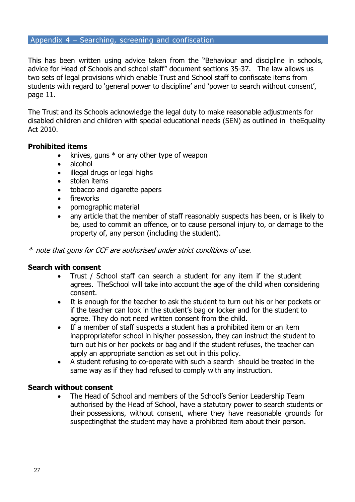#### Appendix 4 – Searching, screening and confiscation

This has been written using advice taken from the "Behaviour and discipline in schools, advice for Head of Schools and school staff" document sections 35-37. The law allows us two sets of legal provisions which enable Trust and School staff to confiscate items from students with regard to 'general power to discipline' and 'power to search without consent', page 11.

The Trust and its Schools acknowledge the legal duty to make reasonable adjustments for disabled children and children with special educational needs (SEN) as outlined in theEquality Act 2010.

#### **Prohibited items**

- knives, guns \* or any other type of weapon
- alcohol
- illegal drugs or legal highs
- stolen items
- tobacco and cigarette papers
- fireworks
- pornographic material
- any article that the member of staff reasonably suspects has been, or is likely to be, used to commit an offence, or to cause personal injury to, or damage to the property of, any person (including the student).

\* note that guns for CCF are authorised under strict conditions of use.

#### **Search with consent**

- Trust / School staff can search a student for any item if the student agrees. TheSchool will take into account the age of the child when considering consent.
- It is enough for the teacher to ask the student to turn out his or her pockets or if the teacher can look in the student's bag or locker and for the student to agree. They do not need written consent from the child.
- If a member of staff suspects a student has a prohibited item or an item inappropriatefor school in his/her possession, they can instruct the student to turn out his or her pockets or bag and if the student refuses, the teacher can apply an appropriate sanction as set out in this policy.
- A student refusing to co-operate with such a search should be treated in the same way as if they had refused to comply with any instruction.

#### **Search without consent**

• The Head of School and members of the School's Senior Leadership Team authorised by the Head of School, have a statutory power to search students or their possessions, without consent, where they have reasonable grounds for suspectingthat the student may have a prohibited item about their person.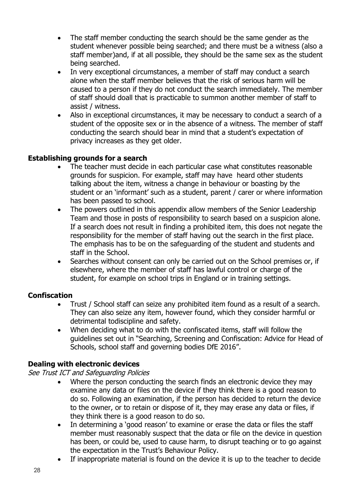- The staff member conducting the search should be the same gender as the student whenever possible being searched; and there must be a witness (also a staff member)and, if at all possible, they should be the same sex as the student being searched.
- In very exceptional circumstances, a member of staff may conduct a search alone when the staff member believes that the risk of serious harm will be caused to a person if they do not conduct the search immediately. The member of staff should doall that is practicable to summon another member of staff to assist / witness.
- Also in exceptional circumstances, it may be necessary to conduct a search of a student of the opposite sex or in the absence of a witness. The member of staff conducting the search should bear in mind that a student's expectation of privacy increases as they get older.

## **Establishing grounds for a search**

- The teacher must decide in each particular case what constitutes reasonable grounds for suspicion. For example, staff may have heard other students talking about the item, witness a change in behaviour or boasting by the student or an 'informant' such as a student, parent / carer or where information has been passed to school.
- The powers outlined in this appendix allow members of the Senior Leadership Team and those in posts of responsibility to search based on a suspicion alone. If a search does not result in finding a prohibited item, this does not negate the responsibility for the member of staff having out the search in the first place. The emphasis has to be on the safeguarding of the student and students and staff in the School.
- Searches without consent can only be carried out on the School premises or, if elsewhere, where the member of staff has lawful control or charge of the student, for example on school trips in England or in training settings.

## **Confiscation**

- Trust / School staff can seize any prohibited item found as a result of a search. They can also seize any item, however found, which they consider harmful or detrimental todiscipline and safety.
- When deciding what to do with the confiscated items, staff will follow the guidelines set out in "Searching, Screening and Confiscation: Advice for Head of Schools, school staff and governing bodies DfE 2016".

## **Dealing with electronic devices**

See Trust ICT and Safeguarding Policies

- Where the person conducting the search finds an electronic device they may examine any data or files on the device if they think there is a good reason to do so. Following an examination, if the person has decided to return the device to the owner, or to retain or dispose of it, they may erase any data or files, if they think there is a good reason to do so.
- In determining a 'good reason' to examine or erase the data or files the staff member must reasonably suspect that the data or file on the device in question has been, or could be, used to cause harm, to disrupt teaching or to go against the expectation in the Trust's Behaviour Policy.
- If inappropriate material is found on the device it is up to the teacher to decide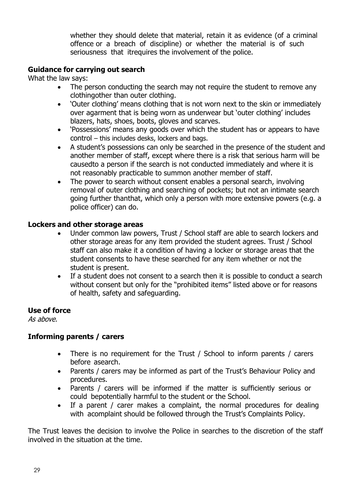whether they should delete that material, retain it as evidence (of a criminal offence or a breach of discipline) or whether the material is of such seriousness that itrequires the involvement of the police.

## **Guidance for carrying out search**

What the law says:

- The person conducting the search may not require the student to remove any clothingother than outer clothing.
- 'Outer clothing' means clothing that is not worn next to the skin or immediately over agarment that is being worn as underwear but 'outer clothing' includes blazers, hats, shoes, boots, gloves and scarves.
- 'Possessions' means any goods over which the student has or appears to have control – this includes desks, lockers and bags.
- A student's possessions can only be searched in the presence of the student and another member of staff, except where there is a risk that serious harm will be causedto a person if the search is not conducted immediately and where it is not reasonably practicable to summon another member of staff.
- The power to search without consent enables a personal search, involving removal of outer clothing and searching of pockets; but not an intimate search going further thanthat, which only a person with more extensive powers (e.g. a police officer) can do.

#### **Lockers and other storage areas**

- Under common law powers, Trust / School staff are able to search lockers and other storage areas for any item provided the student agrees. Trust / School staff can also make it a condition of having a locker or storage areas that the student consents to have these searched for any item whether or not the student is present.
- If a student does not consent to a search then it is possible to conduct a search without consent but only for the "prohibited items" listed above or for reasons of health, safety and safeguarding.

#### **Use of force**

As above.

#### **Informing parents / carers**

- There is no requirement for the Trust / School to inform parents / carers before asearch.
- Parents / carers may be informed as part of the Trust's Behaviour Policy and procedures.
- Parents / carers will be informed if the matter is sufficiently serious or could bepotentially harmful to the student or the School.
- If a parent / carer makes a complaint, the normal procedures for dealing with acomplaint should be followed through the Trust's Complaints Policy.

The Trust leaves the decision to involve the Police in searches to the discretion of the staff involved in the situation at the time.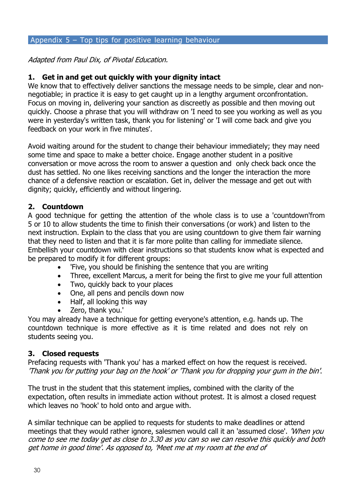## Appendix 5 – Top tips for positive learning behaviour

Adapted from Paul Dix, of Pivotal Education.

## **1. Get in and get out quickly with your dignity intact**

We know that to effectively deliver sanctions the message needs to be simple, clear and nonnegotiable; in practice it is easy to get caught up in a lengthy argument orconfrontation. Focus on moving in, delivering your sanction as discreetly as possible and then moving out quickly. Choose a phrase that you will withdraw on 'I need to see you working as well as you were in yesterday's written task, thank you for listening' or 'I will come back and give you feedback on your work in five minutes'.

Avoid waiting around for the student to change their behaviour immediately; they may need some time and space to make a better choice. Engage another student in a positive conversation or move across the room to answer a question and only check back once the dust has settled. No one likes receiving sanctions and the longer the interaction the more chance of a defensive reaction or escalation. Get in, deliver the message and get out with dignity; quickly, efficiently and without lingering.

#### **2. Countdown**

A good technique for getting the attention of the whole class is to use a 'countdown'from 5 or 10 to allow students the time to finish their conversations (or work) and listen to the next instruction. Explain to the class that you are using countdown to give them fair warning that they need to listen and that it is far more polite than calling for immediate silence. Embellish your countdown with clear instructions so that students know what is expected and be prepared to modify it for different groups:

- 'Five, you should be finishing the sentence that you are writing
- Three, excellent Marcus, a merit for being the first to give me your full attention
- Two, quickly back to your places
- One, all pens and pencils down now
- Half, all looking this way
- Zero, thank you.'

You may already have a technique for getting everyone's attention, e.g. hands up. The countdown technique is more effective as it is time related and does not rely on students seeing you.

#### **3. Closed requests**

Prefacing requests with 'Thank you' has a marked effect on how the request is received. 'Thank you for putting your bag on the hook' or 'Thank you for dropping your gum in the bin'.

The trust in the student that this statement implies, combined with the clarity of the expectation, often results in immediate action without protest. It is almost a closed request which leaves no 'hook' to hold onto and argue with.

A similar technique can be applied to requests for students to make deadlines or attend meetings that they would rather ignore, salesmen would call it an 'assumed close'. 'When you come to see me today get as close to 3.30 as you can so we can resolve this quickly and both get home in good time'. As opposed to, 'Meet me at my room at the end of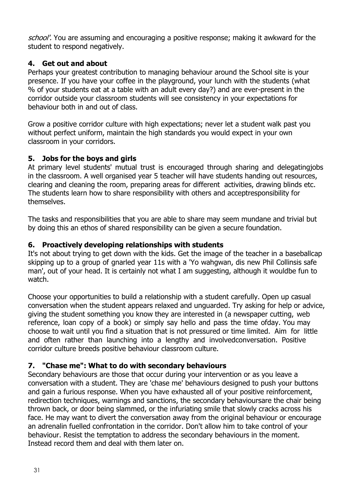school'. You are assuming and encouraging a positive response; making it awkward for the student to respond negatively.

## **4. Get out and about**

Perhaps your greatest contribution to managing behaviour around the School site is your presence. If you have your coffee in the playground, your lunch with the students (what % of your students eat at a table with an adult every day?) and are ever-present in the corridor outside your classroom students will see consistency in your expectations for behaviour both in and out of class.

Grow a positive corridor culture with high expectations; never let a student walk past you without perfect uniform, maintain the high standards you would expect in your own classroom in your corridors.

## **5. Jobs for the boys and girls**

At primary level students' mutual trust is encouraged through sharing and delegatingjobs in the classroom. A well organised year 5 teacher will have students handing out resources, clearing and cleaning the room, preparing areas for different activities, drawing blinds etc. The students learn how to share responsibility with others and acceptresponsibility for themselves.

The tasks and responsibilities that you are able to share may seem mundane and trivial but by doing this an ethos of shared responsibility can be given a secure foundation.

# **6. Proactively developing relationships with students**

It's not about trying to get down with the kids. Get the image of the teacher in a baseballcap skipping up to a group of gnarled year 11s with a 'Yo wahgwan, dis new Phil Collinsis safe man', out of your head. It is certainly not what I am suggesting, although it wouldbe fun to watch.

Choose your opportunities to build a relationship with a student carefully. Open up casual conversation when the student appears relaxed and unguarded. Try asking for help or advice, giving the student something you know they are interested in (a newspaper cutting, web reference, loan copy of a book) or simply say hello and pass the time ofday. You may choose to wait until you find a situation that is not pressured or time limited. Aim for little and often rather than launching into a lengthy and involvedconversation. Positive corridor culture breeds positive behaviour classroom culture.

# **7. "Chase me": What to do with secondary behaviours**

Secondary behaviours are those that occur during your intervention or as you leave a conversation with a student. They are 'chase me' behaviours designed to push your buttons and gain a furious response. When you have exhausted all of your positive reinforcement, redirection techniques, warnings and sanctions, the secondary behavioursare the chair being thrown back, or door being slammed, or the infuriating smile that slowly cracks across his face. He may want to divert the conversation away from the original behaviour or encourage an adrenalin fuelled confrontation in the corridor. Don't allow him to take control of your behaviour. Resist the temptation to address the secondary behaviours in the moment. Instead record them and deal with them later on.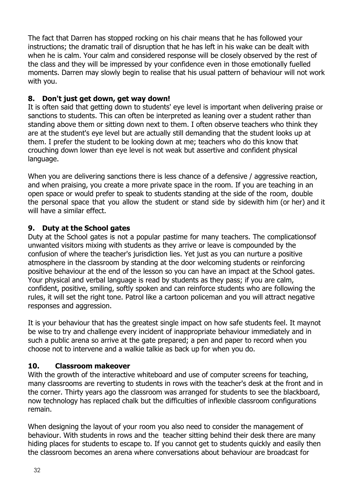The fact that Darren has stopped rocking on his chair means that he has followed your instructions; the dramatic trail of disruption that he has left in his wake can be dealt with when he is calm. Your calm and considered response will be closely observed by the rest of the class and they will be impressed by your confidence even in those emotionally fuelled moments. Darren may slowly begin to realise that his usual pattern of behaviour will not work with you.

## **8. Don't just get down, get way down!**

It is often said that getting down to students' eye level is important when delivering praise or sanctions to students. This can often be interpreted as leaning over a student rather than standing above them or sitting down next to them. I often observe teachers who think they are at the student's eye level but are actually still demanding that the student looks up at them. I prefer the student to be looking down at me; teachers who do this know that crouching down lower than eye level is not weak but assertive and confident physical language.

When you are delivering sanctions there is less chance of a defensive / aggressive reaction, and when praising, you create a more private space in the room. If you are teaching in an open space or would prefer to speak to students standing at the side of the room, double the personal space that you allow the student or stand side by sidewith him (or her) and it will have a similar effect.

## **9. Duty at the School gates**

Duty at the School gates is not a popular pastime for many teachers. The complicationsof unwanted visitors mixing with students as they arrive or leave is compounded by the confusion of where the teacher's jurisdiction lies. Yet just as you can nurture a positive atmosphere in the classroom by standing at the door welcoming students or reinforcing positive behaviour at the end of the lesson so you can have an impact at the School gates. Your physical and verbal language is read by students as they pass; if you are calm, confident, positive, smiling, softly spoken and can reinforce students who are following the rules, it will set the right tone. Patrol like a cartoon policeman and you will attract negative responses and aggression.

It is your behaviour that has the greatest single impact on how safe students feel. It maynot be wise to try and challenge every incident of inappropriate behaviour immediately and in such a public arena so arrive at the gate prepared; a pen and paper to record when you choose not to intervene and a walkie talkie as back up for when you do.

## **10. Classroom makeover**

With the growth of the interactive whiteboard and use of computer screens for teaching, many classrooms are reverting to students in rows with the teacher's desk at the front and in the corner. Thirty years ago the classroom was arranged for students to see the blackboard, now technology has replaced chalk but the difficulties of inflexible classroom configurations remain.

When designing the layout of your room you also need to consider the management of behaviour. With students in rows and the teacher sitting behind their desk there are many hiding places for students to escape to. If you cannot get to students quickly and easily then the classroom becomes an arena where conversations about behaviour are broadcast for